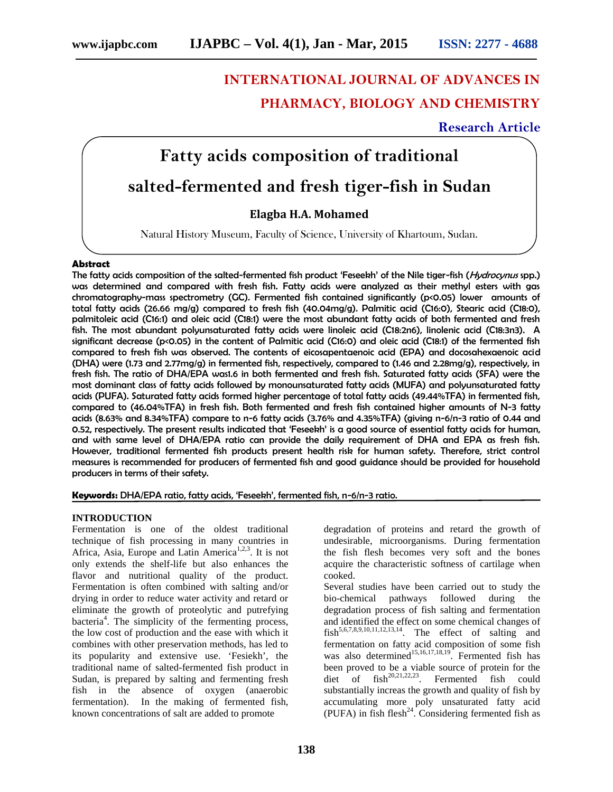# **INTERNATIONAL JOURNAL OF ADVANCES IN PHARMACY, BIOLOGY AND CHEMISTRY**

## **Research Article**

## **Fatty acids composition of traditional**

## **salted-fermented and fresh tiger-fish in Sudan**

## **Elagba H.A. Mohamed**

Natural History Museum, Faculty of Science, University of Khartoum, Sudan.

## **Abstract**

The fatty acids composition of the salted-fermented fish product 'Feseekh' of the Nile tiger-fish (*Hydrocynus* spp.) was determined and compared with fresh fish. Fatty acids were analyzed as their methyl esters with gas chromatography-mass spectrometry (GC). Fermented fish contained significantly (p<0.05) lower amounts of total fatty acids (26.66 mg/g) compared to fresh fish (40.04mg/g). Palmitic acid (C16:0), Stearic acid (C18:0), palmitoleic acid (C16:1) and oleic acid (C18:1) were the most abundant fatty acids of both fermented and fresh fish. The most abundant polyunsaturated fatty acids were linoleic acid (C18:2n6), linolenic acid (C18:3n3). A significant decrease (p<0.05) in the content of Palmitic acid (C16:0) and oleic acid (C18:1) of the fermented fish compared to fresh fish was observed. The contents of eicosapentaenoic acid (EPA) and docosahexaenoic acid (DHA) were (1.73 and 2.77mg/g) in fermented fish, respectively, compared to (1.46 and 2.28mg/g), respectively, in fresh fish. The ratio of DHA/EPA was1.6 in both fermented and fresh fish. Saturated fatty acids (SFA) were the most dominant class of fatty acids followed by monounsaturated fatty acids (MUFA) and polyunsaturated fatty acids (PUFA). Saturated fatty acids formed higher percentage of total fatty acids (49.44%TFA) in fermented fish, compared to (46.04%TFA) in fresh fish. Both fermented and fresh fish contained higher amounts of N-3 fatty acids (8.63% and 8.34%TFA) compare to n-6 fatty acids (3.76% and 4.35%TFA) (giving n-6/n-3 ratio of 0.44 and 0.52, respectively. The present results indicated that 'Feseekh' is a good source of essential fatty acids for human, and with same level of DHA/EPA ratio can provide the daily requirement of DHA and EPA as fresh fish. However, traditional fermented fish products present health risk for human safety. Therefore, strict control measures is recommended for producers of fermented fish and good guidance should be provided for household producers in terms of their safety.

**Keywords:** DHA/EPA ratio, fatty acids, 'Feseekh', fermented fish, n-6/n-3 ratio.

## **INTRODUCTION**

Fermentation is one of the oldest traditional technique of fish processing in many countries in Africa, Asia, Europe and Latin America<sup>1,2,3</sup>. It is not only extends the shelf-life but also enhances the flavor and nutritional quality of the product. Fermentation is often combined with salting and/or drying in order to reduce water activity and retard or eliminate the growth of proteolytic and putrefying bacteria<sup>4</sup>. The simplicity of the fermenting process, the low cost of production and the ease with which it combines with other preservation methods, has led to its popularity and extensive use. 'Fesiekh', the traditional name of salted-fermented fish product in Sudan, is prepared by salting and fermenting fresh fish in the absence of oxygen (anaerobic fermentation). In the making of fermented fish, known concentrations of salt are added to promote

degradation of proteins and retard the growth of undesirable, microorganisms. During fermentation the fish flesh becomes very soft and the bones acquire the characteristic softness of cartilage when cooked.

Several studies have been carried out to study the bio-chemical pathways followed during the degradation process of fish salting and fermentation and identified the effect on some chemical changes of  $fish^{5,6,7,8,9,10,11,12,13,14}$ . The effect of salting and fermentation on fatty acid composition of some fish was also determined<sup>15,16,17,18,19</sup>. Fermented fish has been proved to be a viable source of protein for the diet of  $fish^{20,21,22,23}$ . Fermented fish could substantially increas the growth and quality of fish by accumulating more poly unsaturated fatty acid (PUFA) in fish flesh<sup>24</sup>. Considering fermented fish as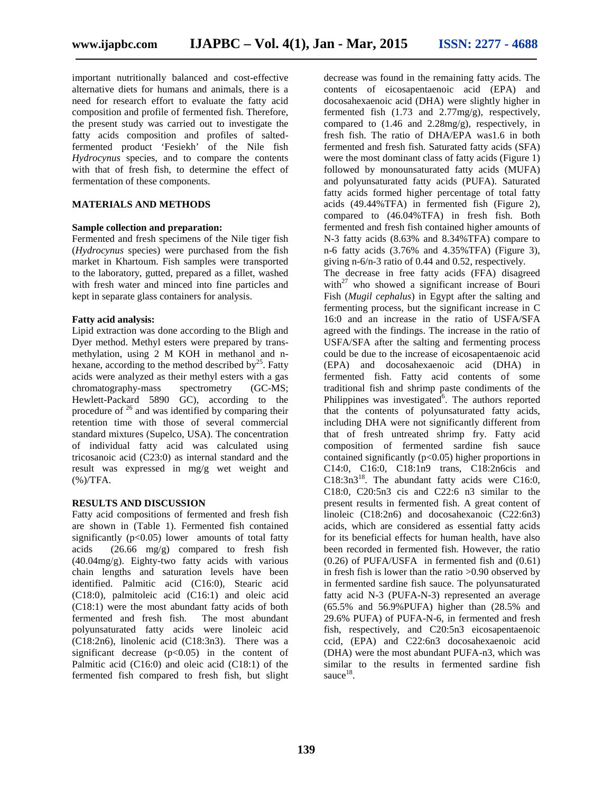important nutritionally balanced and cost-effective alternative diets for humans and animals, there is a need for research effort to evaluate the fatty acid composition and profile of fermented fish. Therefore, the present study was carried out to investigate the fatty acids composition and profiles of saltedfermented product 'Fesiekh' of the Nile fish *Hydrocynus* species, and to compare the contents with that of fresh fish, to determine the effect of fermentation of these components.

## **MATERIALS AND METHODS**

#### **Sample collection and preparation:**

Fermented and fresh specimens of the Nile tiger fish (*Hydrocynus* species) were purchased from the fish market in Khartoum. Fish samples were transported to the laboratory, gutted, prepared as a fillet, washed with fresh water and minced into fine particles and kept in separate glass containers for analysis.

### **Fatty acid analysis:**

Lipid extraction was done according to the Bligh and Dyer method. Methyl esters were prepared by trans methylation, using 2 M KOH in methanol and n hexane, according to the method described by $^{25}$ . Fatty acids were analyzed as their methyl esters with a gas chromatography-mass spectrometry (GC-MS; Hewlett-Packard 5890 GC), according to the procedure of  $26$  and was identified by comparing their retention time with those of several commercial standard mixtures (Supelco, USA). The concentration of individual fatty acid was calculated using tricosanoic acid (C23:0) as internal standard and the result was expressed in mg/g wet weight and (%)/TFA.

#### **RESULTS AND DISCUSSION**

Fatty acid compositions of fermented and fresh fish are shown in (Table 1). Fermented fish contained significantly  $(p<0.05)$  lower amounts of total fatty acids (26.66 mg/g) compared to fresh fish (40.04mg/g). Eighty-two fatty acids with various chain lengths and saturation levels have been identified. Palmitic acid (C16:0), Stearic acid (C18:0), palmitoleic acid (C16:1) and oleic acid (C18:1) were the most abundant fatty acids of both fermented and fresh fish. The most abundant polyunsaturated fatty acids were linoleic acid (C18:2n6), linolenic acid (C18:3n3). There was a significant decrease  $(p<0.05)$  in the content of Palmitic acid (C16:0) and oleic acid (C18:1) of the fermented fish compared to fresh fish, but slight

decrease was found in the remaining fatty acids. The contents of eicosapentaenoic acid (EPA) and docosahexaenoic acid (DHA) were slightly higher in fermented fish (1.73 and 2.77mg/g), respectively, compared to (1.46 and 2.28mg/g), respectively, in fresh fish. The ratio of DHA/EPA was1.6 in both fermented and fresh fish. Saturated fatty acids (SFA) were the most dominant class of fatty acids (Figure 1) followed by monounsaturated fatty acids (MUFA) and polyunsaturated fatty acids (PUFA). Saturated fatty acids formed higher percentage of total fatty acids (49.44%TFA) in fermented fish (Figure 2), compared to (46.04%TFA) in fresh fish. Both fermented and fresh fish contained higher amounts of N-3 fatty acids (8.63% and 8.34%TFA) compare to n-6 fatty acids (3.76% and 4.35%TFA) (Figure 3), giving n-6/n-3 ratio of 0.44 and 0.52, respectively.

The decrease in free fatty acids (FFA) disagreed with $^{27}$  who showed a significant increase of Bouri Fish (*Mugil cephalus*) in Egypt after the salting and fermenting process, but the significant increase in C 16:0 and an increase in the ratio of USFA/SFA agreed with the findings. The increase in the ratio of USFA/SFA after the salting and fermenting process could be due to the increase of eicosapentaenoic acid (EPA) and docosahexaenoic acid (DHA) in fermented fish. Fatty acid contents of some traditional fish and shrimp paste condiments of the Philippines was investigated $\delta$ . The authors reported that the contents of polyunsaturated fatty acids, including DHA were not significantly different from that of fresh untreated shrimp fry. Fatty acid composition of fermented sardine fish sauce contained significantly  $(p<0.05)$  higher proportions in C14:0, C16:0, C18:1n9 trans, C18:2n6cis and  $C18:3n3^{18}$ . The abundant fatty acids were C16:0, C18:0, C20:5n3 cis and C22:6 n3 similar to the present results in fermented fish. A great content of linoleic (C18:2n6) and docosahexanoic (C22:6n3) acids, which are considered as essential fatty acids for its beneficial effects for human health, have also been recorded in fermented fish. However, the ratio (0.26) of PUFA/USFA in fermented fish and (0.61) in fresh fish is lower than the ratio >0.90 observed by in fermented sardine fish sauce. The polyunsaturated fatty acid N-3 (PUFA-N-3) represented an average (65.5% and 56.9%PUFA) higher than (28.5% and 29.6% PUFA) of PUFA-N-6, in fermented and fresh fish, respectively, and C20:5n3 eicosapentaenoic ccid, (EPA) and C22:6n3 docosahexaenoic acid (DHA) were the most abundant PUFA-n3, which was similar to the results in fermented sardine fish sauce $^{18}$ .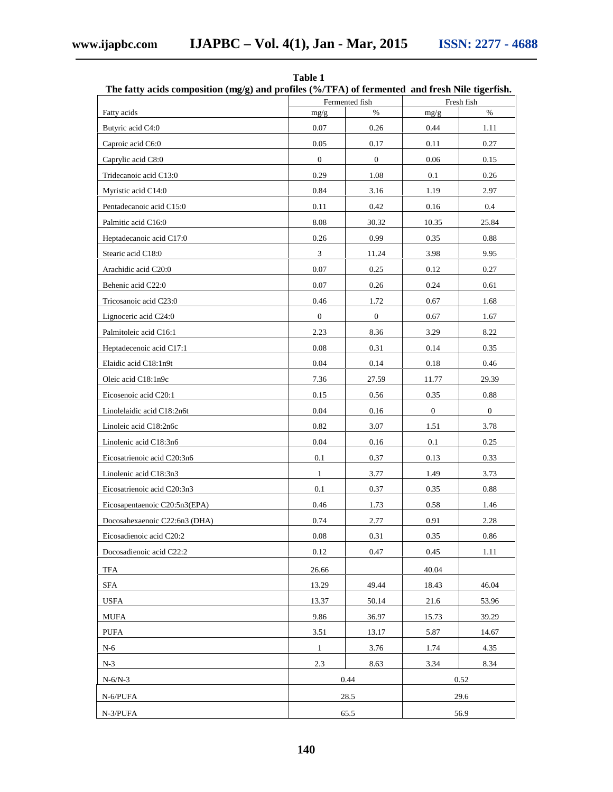| The fatty acids composition $(mg/g)$ and profiles (%/TFA) of fermented and fresh Nile tigerfish. |                  |                |              |                |  |
|--------------------------------------------------------------------------------------------------|------------------|----------------|--------------|----------------|--|
|                                                                                                  |                  | Fermented fish |              | Fresh fish     |  |
| Fatty acids                                                                                      | mg/g             | $\%$           | mg/g         | $\%$           |  |
| Butyric acid C4:0                                                                                | 0.07             | 0.26           | 0.44         | 1.11           |  |
| Caproic acid C6:0                                                                                | 0.05             | 0.17           | 0.11         | 0.27           |  |
| Caprylic acid C8:0                                                                               | $\mathbf{0}$     | $\mathbf{0}$   | 0.06         | 0.15           |  |
| Tridecanoic acid C13:0                                                                           | 0.29             | 1.08           | 0.1          | 0.26           |  |
| Myristic acid C14:0                                                                              | 0.84             | 3.16           | 1.19         | 2.97           |  |
| Pentadecanoic acid C15:0                                                                         | 0.11             | 0.42           | 0.16         | 0.4            |  |
| Palmitic acid C16:0                                                                              | 8.08             | 30.32          | 10.35        | 25.84          |  |
| Heptadecanoic acid C17:0                                                                         | 0.26             | 0.99           | 0.35         | $0.88\,$       |  |
| Stearic acid C18:0                                                                               | 3                | 11.24          | 3.98         | 9.95           |  |
| Arachidic acid C20:0                                                                             | 0.07             | 0.25           | 0.12         | 0.27           |  |
| Behenic acid C22:0                                                                               | 0.07             | 0.26           | 0.24         | 0.61           |  |
| Tricosanoic acid C23:0                                                                           | 0.46             | 1.72           | 0.67         | 1.68           |  |
| Lignoceric acid C24:0                                                                            | $\boldsymbol{0}$ | $\mathbf{0}$   | 0.67         | 1.67           |  |
| Palmitoleic acid C16:1                                                                           | 2.23             | 8.36           | 3.29         | 8.22           |  |
| Heptadecenoic acid C17:1                                                                         | 0.08             | 0.31           | 0.14         | 0.35           |  |
| Elaidic acid C18:1n9t                                                                            | 0.04             | 0.14           | 0.18         | 0.46           |  |
| Oleic acid C18:1n9c                                                                              | 7.36             | 27.59          | 11.77        | 29.39          |  |
| Eicosenoic acid C20:1                                                                            | 0.15             | 0.56           | 0.35         | $0.88\,$       |  |
| Linolelaidic acid C18:2n6t                                                                       | 0.04             | 0.16           | $\mathbf{0}$ | $\overline{0}$ |  |
| Linoleic acid C18:2n6c                                                                           | 0.82             | 3.07           | 1.51         | 3.78           |  |
| Linolenic acid C18:3n6                                                                           | 0.04             | $0.16\,$       | 0.1          | 0.25           |  |
| Eicosatrienoic acid C20:3n6                                                                      | 0.1              | 0.37           | 0.13         | 0.33           |  |
| Linolenic acid C18:3n3                                                                           | $\mathbf{1}$     | 3.77           | 1.49         | 3.73           |  |
| Eicosatrienoic acid C20:3n3                                                                      | 0.1              | 0.37           | 0.35         | $0.88\,$       |  |
| Eicosapentaenoic C20:5n3(EPA)                                                                    | 0.46             | 1.73           | 0.58         | 1.46           |  |
| Docosahexaenoic C22:6n3 (DHA)                                                                    | 0.74             | 2.77           | 0.91         | 2.28           |  |
| Eicosadienoic acid C20:2                                                                         | 0.08             | 0.31           | 0.35         | 0.86           |  |
| Docosadienoic acid C22:2                                                                         | 0.12             | 0.47           | 0.45         | 1.11           |  |
| <b>TFA</b>                                                                                       | 26.66            |                | 40.04        |                |  |
| <b>SFA</b>                                                                                       | 13.29            | 49.44          | 18.43        | 46.04          |  |
| <b>USFA</b>                                                                                      | 13.37            | 50.14          | 21.6         | 53.96          |  |
| <b>MUFA</b>                                                                                      | 9.86             | 36.97          | 15.73        | 39.29          |  |
| <b>PUFA</b>                                                                                      | 3.51             | 13.17          | 5.87         | 14.67          |  |
| $N-6$                                                                                            | $\mathbf{1}$     | 3.76           | 1.74         | 4.35           |  |
| $N-3$                                                                                            | 2.3              | 8.63           | 3.34         | 8.34           |  |
|                                                                                                  |                  |                |              |                |  |
| $N-6/N-3$                                                                                        |                  | 0.44           |              | 0.52           |  |
| N-6/PUFA                                                                                         |                  | 28.5           |              | 29.6           |  |
| N-3/PUFA                                                                                         |                  | 65.5           |              | 56.9           |  |

**Table 1**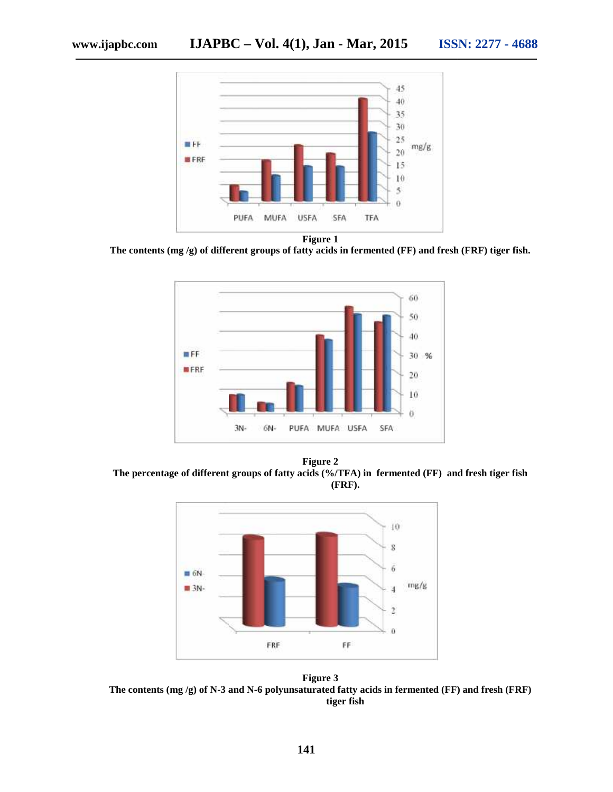

**Figure 1**

**The contents (mg /g) of different groups of fatty acids in fermented (FF) and fresh (FRF) tiger fish. in fermented** 



**Figure 2 The percentage of different groups of fatty acids (%/TFA) in fermented (FF) and fresh tiger fish groups fatty fermented (FF) and (FRF).**



**Figure 3 The contents (mg /g) of N-3 and N-6 polyunsaturated fatty acids in fermented (FF) and fresh (FRF) tiger fish tiger fish**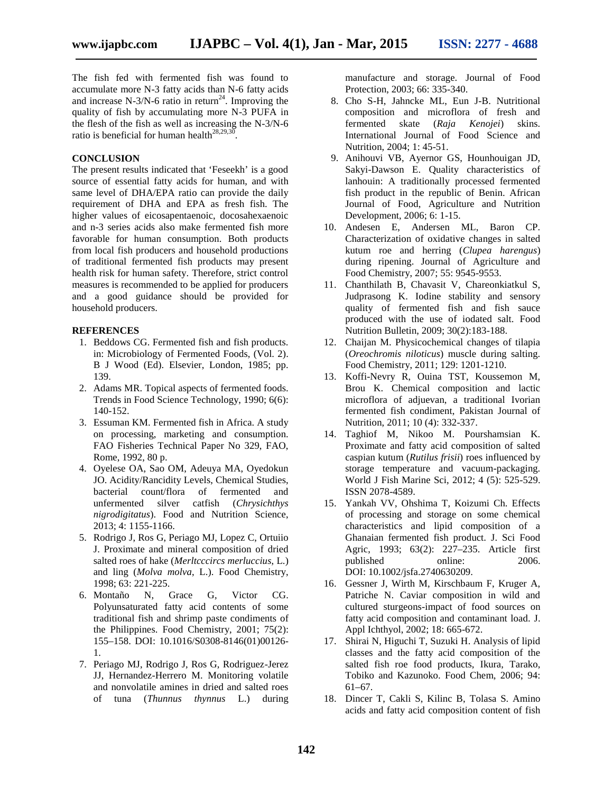The fish fed with fermented fish was found to accumulate more N-3 fatty acids than N-6 fatty acids and increase N-3/N-6 ratio in return<sup>24</sup>. Improving the quality of fish by accumulating more N-3 PUFA in the flesh of the fish as well as increasing the N-3/N-6 ratio is beneficial for human health<sup>28,29,30</sup>. .

### **CONCLUSION**

The present results indicated that 'Feseekh' is a good source of essential fatty acids for human, and with same level of DHA/EPA ratio can provide the daily requirement of DHA and EPA as fresh fish. The higher values of eicosapentaenoic, docosahexaenoic and n-3 series acids also make fermented fish more favorable for human consumption. Both products from local fish producers and household productions of traditional fermented fish products may present health risk for human safety. Therefore, strict control measures is recommended to be applied for producers and a good guidance should be provided for household producers.

### **REFERENCES**

- 1. Beddows CG. Fermented fish and fish products. in: Microbiology of Fermented Foods, (Vol. 2). B J Wood (Ed). Elsevier, London, 1985; pp. 139.
- 2. Adams MR. Topical aspects of fermented foods. Trends in Food Science Technology, 1990; 6(6): 140-152.
- 3. Essuman KM. Fermented fish in Africa. A study on processing, marketing and consumption. FAO Fisheries Technical Paper No 329, FAO, Rome, 1992, 80 p.
- 4. Oyelese OA, Sao OM, Adeuya MA, Oyedokun JO. Acidity/Rancidity Levels, Chemical Studies, bacterial count/flora of fermented and unfermented silver catfish (*Chrysichthys nigrodigitatus*). Food and Nutrition Science, 2013; 4: 1155-1166.
- 5. Rodrigo J, Ros G, Periago MJ, Lopez C, Ortuiio J. Proximate and mineral composition of dried salted roes of hake (*Merltcccircs merluccius*, L.) and ling (*Molva molva*, L.). Food Chemistry, 1998; 63: 221-225.
- 6. Montaño N, Grace G, Victor CG. Polyunsaturated fatty acid contents of some traditional fish and shrimp paste condiments of the Philippines. Food Chemistry, 2001; 75(2): 155–158. DOI: 10.1016/S0308-8146(01)00126- 1.
- 7. Periago MJ, Rodrigo J, Ros G, Rodriguez-Jerez JJ, Hernandez-Herrero M. Monitoring volatile and nonvolatile amines in dried and salted roes of tuna (*Thunnus thynnus* L.) during

manufacture and storage. Journal of Food Protection, 2003; 66: 335-340.

- 8. Cho S-H, Jahncke ML, Eun J-B. Nutritional composition and microflora of fresh and fermented skate (*Raja Kenojei*) skins. International Journal of Food Science and Nutrition, 2004; 1: 45-51.
- 9. Anihouvi VB, Ayernor GS, Hounhouigan JD, Sakyi-Dawson E. Quality characteristics of lanhouin: A traditionally processed fermented fish product in the republic of Benin. African Journal of Food, Agriculture and Nutrition Development, 2006; 6: 1-15.
- 10. Andesen E, Andersen ML, Baron CP. Characterization of oxidative changes in salted kutum roe and herring (*Clupea harengus*) during ripening. Journal of Agriculture and Food Chemistry, 2007; 55: 9545-9553.
- 11. Chanthilath B, Chavasit V, Chareonkiatkul S, Judprasong K. Iodine stability and sensory quality of fermented fish and fish sauce produced with the use of iodated salt. Food Nutrition Bulletin, 2009; 30(2):183-188.
- 12. Chaijan M. Physicochemical changes of tilapia (*Oreochromis niloticus*) muscle during salting. Food Chemistry, 2011; 129: 1201-1210.
- 13. Koffi-Nevry R, Ouina TST, Koussemon M, Brou K. Chemical composition and lactic microflora of adjuevan, a traditional Ivorian fermented fish condiment, Pakistan Journal of Nutrition, 2011; 10 (4): 332-337.
- 14. Taghiof M, Nikoo M. Pourshamsian K. Proximate and fatty acid composition of salted caspian kutum (*Rutilus frisii*) roes influenced by storage temperature and vacuum-packaging. World J Fish Marine Sci, 2012; 4 (5): 525-529. ISSN 2078-4589.
- 15. Yankah VV, Ohshima T, Koizumi Ch. Effects of processing and storage on some chemical characteristics and lipid composition of a Ghanaian fermented fish product. J. Sci Food Agric, 1993; 63(2): 227–235. Article first published online: 2006. DOI: 10.1002/jsfa.2740630209.
- 16. Gessner J, Wirth M, Kirschbaum F, Kruger A, Patriche N. Caviar composition in wild and cultured sturgeons-impact of food sources on fatty acid composition and contaminant load. J. Appl Ichthyol, 2002; 18: 665-672.
- 17. Shirai N, Higuchi T, Suzuki H. Analysis of lipid classes and the fatty acid composition of the salted fish roe food products, Ikura, Tarako, Tobiko and Kazunoko. Food Chem, 2006; 94: 61–67.
- 18. Dincer T, Cakli S, Kilinc B, Tolasa S. Amino acids and fatty acid composition content of fish